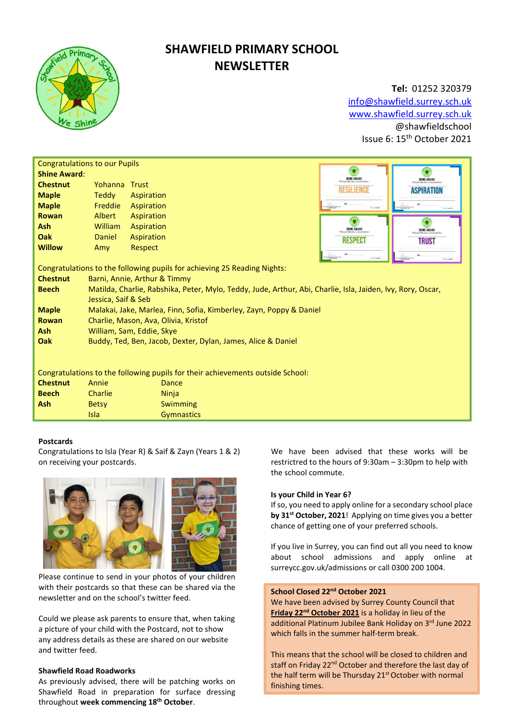

# SHAWFIELD PRIMARY SCHOOL **NEWSLETTER**

# Tel: 01252 320379 info@shawfield.surrey.sch.uk www.shawfield.surrey.sch.uk @shawfieldschool Issue 6: 15th October 2021

| <b>Congratulations to our Pupils</b>                                           |                                                                                                             |                   |  |                          |                    |  |  |  |
|--------------------------------------------------------------------------------|-------------------------------------------------------------------------------------------------------------|-------------------|--|--------------------------|--------------------|--|--|--|
| <b>Shine Award:</b>                                                            |                                                                                                             |                   |  | SHINE AWARD              | <b>SHINE AWARD</b> |  |  |  |
| <b>Chestnut</b>                                                                | Yohanna Trust                                                                                               |                   |  | RESILIENCE               | <b>ASPIRATION</b>  |  |  |  |
| <b>Maple</b>                                                                   | Teddy                                                                                                       | Aspiration        |  |                          |                    |  |  |  |
| <b>Maple</b>                                                                   | Freddie                                                                                                     | Aspiration        |  | Historycon<br>Cay Sarler |                    |  |  |  |
| <b>Rowan</b>                                                                   | Albert                                                                                                      | Aspiration        |  |                          |                    |  |  |  |
| <b>Ash</b>                                                                     | William                                                                                                     | Aspiration        |  | SHINE AWARD              | SHINE AWARD        |  |  |  |
| Oak                                                                            | <b>Daniel</b>                                                                                               | Aspiration        |  | <b>RESPECT</b>           | <b>TRUST</b>       |  |  |  |
| <b>Willow</b>                                                                  | Amy                                                                                                         | Respect           |  |                          |                    |  |  |  |
|                                                                                |                                                                                                             |                   |  |                          | Cast Sarba         |  |  |  |
| Congratulations to the following pupils for achieving 25 Reading Nights:       |                                                                                                             |                   |  |                          |                    |  |  |  |
| <b>Chestnut</b>                                                                | Barni, Annie, Arthur & Timmy                                                                                |                   |  |                          |                    |  |  |  |
| <b>Beech</b>                                                                   | Matilda, Charlie, Rabshika, Peter, Mylo, Teddy, Jude, Arthur, Abi, Charlie, Isla, Jaiden, Ivy, Rory, Oscar, |                   |  |                          |                    |  |  |  |
|                                                                                | Jessica, Saif & Seb                                                                                         |                   |  |                          |                    |  |  |  |
| <b>Maple</b>                                                                   | Malakai, Jake, Marlea, Finn, Sofia, Kimberley, Zayn, Poppy & Daniel                                         |                   |  |                          |                    |  |  |  |
| <b>Rowan</b>                                                                   | Charlie, Mason, Ava, Olivia, Kristof                                                                        |                   |  |                          |                    |  |  |  |
| <b>Ash</b>                                                                     | William, Sam, Eddie, Skye                                                                                   |                   |  |                          |                    |  |  |  |
| <b>Oak</b>                                                                     | Buddy, Ted, Ben, Jacob, Dexter, Dylan, James, Alice & Daniel                                                |                   |  |                          |                    |  |  |  |
|                                                                                |                                                                                                             |                   |  |                          |                    |  |  |  |
|                                                                                |                                                                                                             |                   |  |                          |                    |  |  |  |
| Congratulations to the following pupils for their achievements outside School: |                                                                                                             |                   |  |                          |                    |  |  |  |
| <b>Chestnut</b>                                                                | Annie                                                                                                       | Dance             |  |                          |                    |  |  |  |
| <b>Beech</b>                                                                   | Charlie                                                                                                     | Ninja             |  |                          |                    |  |  |  |
| <b>Ash</b>                                                                     | <b>Betsy</b>                                                                                                | <b>Swimming</b>   |  |                          |                    |  |  |  |
|                                                                                | Isla                                                                                                        | <b>Gymnastics</b> |  |                          |                    |  |  |  |

# Postcards

Congratulations to Isla (Year R) & Saif & Zayn (Years 1 & 2) on receiving your postcards.



Please continue to send in your photos of your children with their postcards so that these can be shared via the newsletter and on the school's twitter feed.

Could we please ask parents to ensure that, when taking a picture of your child with the Postcard, not to show any address details as these are shared on our website and twitter feed.

# Shawfield Road Roadworks

As previously advised, there will be patching works on Shawfield Road in preparation for surface dressing throughout week commencing 18<sup>th</sup> October.

We have been advised that these works will be restrictred to the hours of 9:30am – 3:30pm to help with the school commute.

## Is your Child in Year 6?

If so, you need to apply online for a secondary school place by 31<sup>st</sup> October, 2021! Applying on time gives you a better chance of getting one of your preferred schools.

If you live in Surrey, you can find out all you need to know about school admissions and apply online at surreycc.gov.uk/admissions or call 0300 200 1004.

# School Closed 22<sup>nd</sup> October 2021

We have been advised by Surrey County Council that Friday 22<sup>nd</sup> October 2021 is a holiday in lieu of the additional Platinum Jubilee Bank Holiday on 3rd June 2022 which falls in the summer half-term break.

This means that the school will be closed to children and staff on Friday 22<sup>nd</sup> October and therefore the last day of the half term will be Thursday 21<sup>st</sup> October with normal finishing times.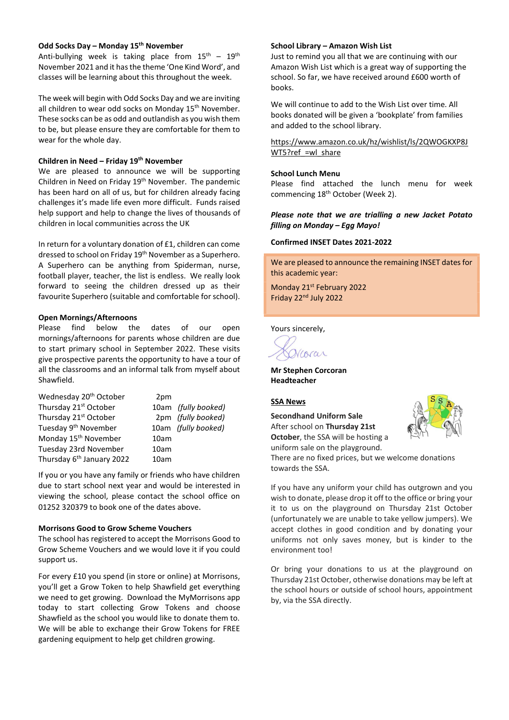#### Odd Socks Day – Monday 15th November

Anti-bullying week is taking place from  $15^{th}$  -  $19^{th}$ November 2021 and it has the theme 'One Kind Word', and classes will be learning about this throughout the week.

The week will begin with Odd Socks Day and we are inviting all children to wear odd socks on Monday 15<sup>th</sup> November. These socks can be as odd and outlandish as you wish them to be, but please ensure they are comfortable for them to wear for the whole day.

#### Children in Need – Friday  $19<sup>th</sup>$  November

We are pleased to announce we will be supporting Children in Need on Friday 19<sup>th</sup> November. The pandemic has been hard on all of us, but for children already facing challenges it's made life even more difficult. Funds raised help support and help to change the lives of thousands of children in local communities across the UK

In return for a voluntary donation of £1, children can come dressed to school on Friday 19<sup>th</sup> November as a Superhero. A Superhero can be anything from Spiderman, nurse, football player, teacher, the list is endless. We really look forward to seeing the children dressed up as their favourite Superhero (suitable and comfortable for school).

#### Open Mornings/Afternoons

Please find below the dates of our open mornings/afternoons for parents whose children are due to start primary school in September 2022. These visits give prospective parents the opportunity to have a tour of all the classrooms and an informal talk from myself about Shawfield.

| Wednesday 20 <sup>th</sup> October    | 2pm  |                     |
|---------------------------------------|------|---------------------|
| Thursday 21 <sup>st</sup> October     |      | 10am (fully booked) |
| Thursday 21 <sup>st</sup> October     |      | 2pm (fully booked)  |
| Tuesday 9 <sup>th</sup> November      |      | 10am (fully booked) |
| Monday 15 <sup>th</sup> November      | 10am |                     |
| Tuesday 23rd November                 | 10am |                     |
| Thursday 6 <sup>th</sup> January 2022 | 10am |                     |

If you or you have any family or friends who have children due to start school next year and would be interested in viewing the school, please contact the school office on 01252 320379 to book one of the dates above.

# Morrisons Good to Grow Scheme Vouchers

The school has registered to accept the Morrisons Good to Grow Scheme Vouchers and we would love it if you could support us.

For every £10 you spend (in store or online) at Morrisons, you'll get a Grow Token to help Shawfield get everything we need to get growing. Download the MyMorrisons app today to start collecting Grow Tokens and choose Shawfield as the school you would like to donate them to. We will be able to exchange their Grow Tokens for FREE gardening equipment to help get children growing.

#### School Library – Amazon Wish List

Just to remind you all that we are continuing with our Amazon Wish List which is a great way of supporting the school. So far, we have received around £600 worth of books.

We will continue to add to the Wish List over time. All books donated will be given a 'bookplate' from families and added to the school library.

https://www.amazon.co.uk/hz/wishlist/ls/2QWOGKXP8J WT5?ref =wl\_share

#### School Lunch Menu

Please find attached the lunch menu for week commencing 18<sup>th</sup> October (Week 2).

#### Please note that we are trialling a new Jacket Potato filling on Monday – Egg Mayo!

#### Confirmed INSET Dates 2021-2022

We are pleased to announce the remaining INSET dates for this academic year:

Monday 21st February 2022 Friday 22nd July 2022

Yours sincerely,

Vcorar

Mr Stephen Corcoran Headteacher

#### SSA News

Secondhand Uniform Sale After school on Thursday 21st October, the SSA will be hosting a uniform sale on the playground.



There are no fixed prices, but we welcome donations towards the SSA.

If you have any uniform your child has outgrown and you wish to donate, please drop it off to the office or bring your it to us on the playground on Thursday 21st October (unfortunately we are unable to take yellow jumpers). We accept clothes in good condition and by donating your uniforms not only saves money, but is kinder to the environment too!

Or bring your donations to us at the playground on Thursday 21st October, otherwise donations may be left at the school hours or outside of school hours, appointment by, via the SSA directly.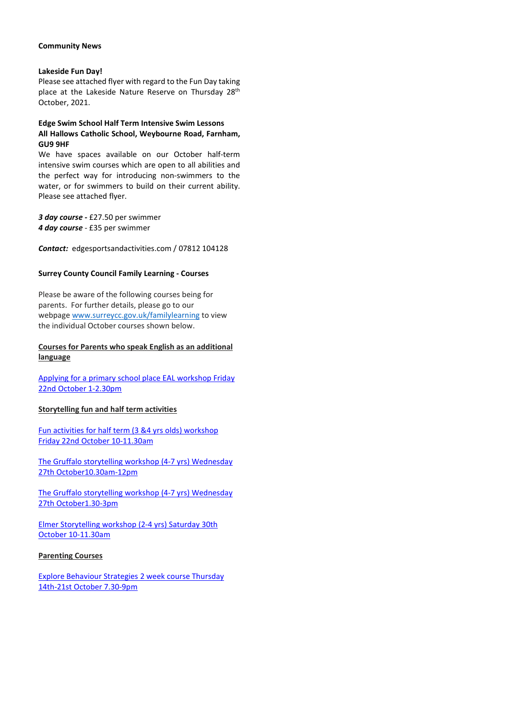#### Community News

### Lakeside Fun Day!

Please see attached flyer with regard to the Fun Day taking place at the Lakeside Nature Reserve on Thursday 28<sup>th</sup> October, 2021.

# Edge Swim School Half Term Intensive Swim Lessons All Hallows Catholic School, Weybourne Road, Farnham, GU9 9HF

We have spaces available on our October half-term intensive swim courses which are open to all abilities and the perfect way for introducing non-swimmers to the water, or for swimmers to build on their current ability. Please see attached flyer.

3 day course - £27.50 per swimmer 4 day course - £35 per swimmer

Contact: edgesportsandactivities.com / 07812 104128

# Surrey County Council Family Learning - Courses

Please be aware of the following courses being for parents. For further details, please go to our webpage www.surreycc.gov.uk/familylearning to view the individual October courses shown below.

# Courses for Parents who speak English as an additional language

Applying for a primary school place EAL workshop Friday 22nd October 1-2.30pm

# Storytelling fun and half term activities

Fun activities for half term (3 &4 yrs olds) workshop Friday 22nd October 10-11.30am

The Gruffalo storytelling workshop (4-7 yrs) Wednesday 27th October10.30am-12pm

The Gruffalo storytelling workshop (4-7 yrs) Wednesday 27th October1.30-3pm

Elmer Storytelling workshop (2-4 yrs) Saturday 30th October 10-11.30am

#### Parenting Courses

Explore Behaviour Strategies 2 week course Thursday 14th-21st October 7.30-9pm